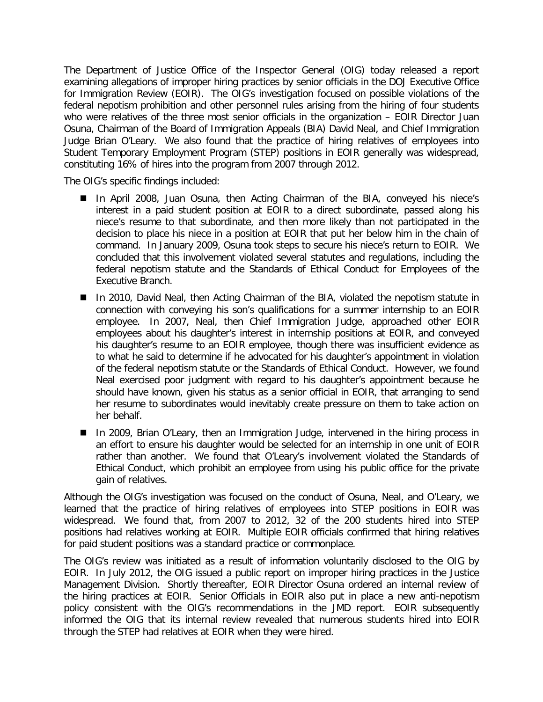The Department of Justice Office of the Inspector General (OIG) today released a report examining allegations of improper hiring practices by senior officials in the DOJ Executive Office for Immigration Review (EOIR). The OIG's investigation focused on possible violations of the federal nepotism prohibition and other personnel rules arising from the hiring of four students who were relatives of the three most senior officials in the organization - EOIR Director Juan Osuna, Chairman of the Board of Immigration Appeals (BIA) David Neal, and Chief Immigration Judge Brian O'Leary. We also found that the practice of hiring relatives of employees into Student Temporary Employment Program (STEP) positions in EOIR generally was widespread, constituting 16% of hires into the program from 2007 through 2012.

The OIG's specific findings included:

- In April 2008, Juan Osuna, then Acting Chairman of the BIA, conveyed his niece's interest in a paid student position at EOIR to a direct subordinate, passed along his niece's resume to that subordinate, and then more likely than not participated in the decision to place his niece in a position at EOIR that put her below him in the chain of command. In January 2009, Osuna took steps to secure his niece's return to EOIR. We concluded that this involvement violated several statutes and regulations, including the federal nepotism statute and the Standards of Ethical Conduct for Employees of the Executive Branch.
- In 2010, David Neal, then Acting Chairman of the BIA, violated the nepotism statute in connection with conveying his son's qualifications for a summer internship to an EOIR employee. In 2007, Neal, then Chief Immigration Judge, approached other EOIR employees about his daughter's interest in internship positions at EOIR, and conveyed his daughter's resume to an EOIR employee, though there was insufficient evidence as to what he said to determine if he advocated for his daughter's appointment in violation of the federal nepotism statute or the Standards of Ethical Conduct. However, we found Neal exercised poor judgment with regard to his daughter's appointment because he should have known, given his status as a senior official in EOIR, that arranging to send her resume to subordinates would inevitably create pressure on them to take action on her behalf.
- In 2009, Brian O'Leary, then an Immigration Judge, intervened in the hiring process in an effort to ensure his daughter would be selected for an internship in one unit of EOIR rather than another. We found that O'Leary's involvement violated the Standards of Ethical Conduct, which prohibit an employee from using his public office for the private gain of relatives.

Although the OIG's investigation was focused on the conduct of Osuna, Neal, and O'Leary, we learned that the practice of hiring relatives of employees into STEP positions in EOIR was widespread. We found that, from 2007 to 2012, 32 of the 200 students hired into STEP positions had relatives working at EOIR. Multiple EOIR officials confirmed that hiring relatives for paid student positions was a standard practice or commonplace.

The OIG's review was initiated as a result of information voluntarily disclosed to the OIG by EOIR. In July 2012, the OIG issued a public report on improper hiring practices in the Justice Management Division. Shortly thereafter, EOIR Director Osuna ordered an internal review of the hiring practices at EOIR. Senior Officials in EOIR also put in place a new anti-nepotism policy consistent with the OIG's recommendations in the JMD report. EOIR subsequently informed the OIG that its internal review revealed that numerous students hired into EOIR through the STEP had relatives at EOIR when they were hired.